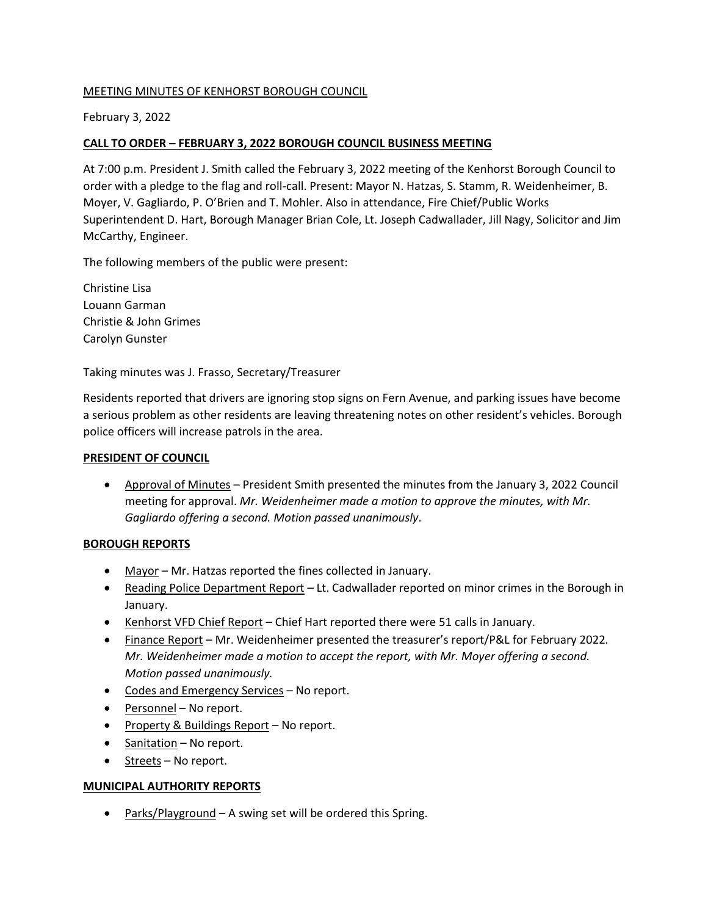# MEETING MINUTES OF KENHORST BOROUGH COUNCIL

# February 3, 2022

# **CALL TO ORDER – FEBRUARY 3, 2022 BOROUGH COUNCIL BUSINESS MEETING**

At 7:00 p.m. President J. Smith called the February 3, 2022 meeting of the Kenhorst Borough Council to order with a pledge to the flag and roll-call. Present: Mayor N. Hatzas, S. Stamm, R. Weidenheimer, B. Moyer, V. Gagliardo, P. O'Brien and T. Mohler. Also in attendance, Fire Chief/Public Works Superintendent D. Hart, Borough Manager Brian Cole, Lt. Joseph Cadwallader, Jill Nagy, Solicitor and Jim McCarthy, Engineer.

The following members of the public were present:

Christine Lisa Louann Garman Christie & John Grimes Carolyn Gunster

Taking minutes was J. Frasso, Secretary/Treasurer

Residents reported that drivers are ignoring stop signs on Fern Avenue, and parking issues have become a serious problem as other residents are leaving threatening notes on other resident's vehicles. Borough police officers will increase patrols in the area.

#### **PRESIDENT OF COUNCIL**

• Approval of Minutes – President Smith presented the minutes from the January 3, 2022 Council meeting for approval. *Mr. Weidenheimer made a motion to approve the minutes, with Mr. Gagliardo offering a second. Motion passed unanimously*.

## **BOROUGH REPORTS**

- Mayor Mr. Hatzas reported the fines collected in January.
- Reading Police Department Report Lt. Cadwallader reported on minor crimes in the Borough in January.
- Kenhorst VFD Chief Report Chief Hart reported there were 51 calls in January.
- Finance Report Mr. Weidenheimer presented the treasurer's report/P&L for February 2022*. Mr. Weidenheimer made a motion to accept the report, with Mr. Moyer offering a second. Motion passed unanimously.*
- Codes and Emergency Services No report.
- Personnel No report.
- Property & Buildings Report No report.
- Sanitation No report.
- Streets No report.

## **MUNICIPAL AUTHORITY REPORTS**

• Parks/Playground – A swing set will be ordered this Spring.